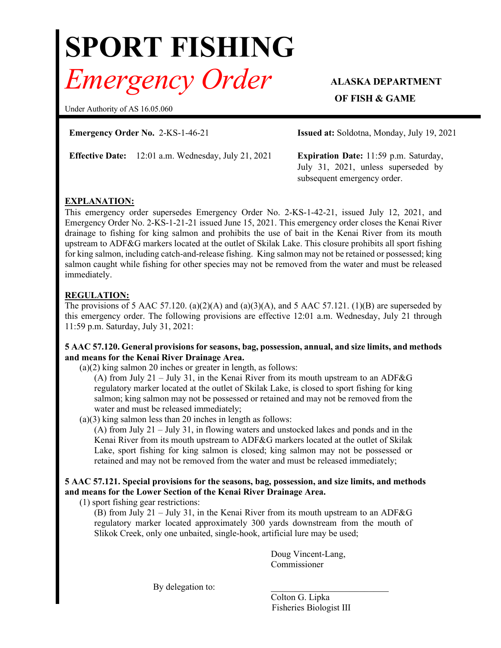# **SPORT FISHING** *Emergency Order* **ALASKA DEPARTMENT**

Under Authority of AS 16.05.060

**Emergency Order No.** 2-KS-1-46-21 **Issued at:** Soldotna, Monday, July 19, 2021

**Effective Date:** 12:01 a.m. Wednesday, July 21, 2021 **Expiration Date:** 11:59 p.m. Saturday,

**OF FISH & GAME** 

July 31, 2021, unless superseded by subsequent emergency order.

# **EXPLANATION:**

This emergency order supersedes Emergency Order No. 2-KS-1-42-21, issued July 12, 2021, and Emergency Order No. 2-KS-1-21-21 issued June 15, 2021. This emergency order closes the Kenai River drainage to fishing for king salmon and prohibits the use of bait in the Kenai River from its mouth upstream to ADF&G markers located at the outlet of Skilak Lake. This closure prohibits all sport fishing for king salmon, including catch-and-release fishing. King salmon may not be retained or possessed; king salmon caught while fishing for other species may not be removed from the water and must be released immediately.

# **REGULATION:**

The provisions of 5 AAC 57.120. (a)(2)(A) and (a)(3)(A), and 5 AAC 57.121. (1)(B) are superseded by this emergency order. The following provisions are effective 12:01 a.m. Wednesday, July 21 through 11:59 p.m. Saturday, July 31, 2021:

## **5 AAC 57.120. General provisions for seasons, bag, possession, annual, and size limits, and methods and means for the Kenai River Drainage Area.**

(a)(2) king salmon 20 inches or greater in length, as follows:

(A) from July 21 – July 31, in the Kenai River from its mouth upstream to an ADF&G regulatory marker located at the outlet of Skilak Lake, is closed to sport fishing for king salmon; king salmon may not be possessed or retained and may not be removed from the water and must be released immediately;

(a)(3) king salmon less than 20 inches in length as follows:

(A) from July 21 – July 31, in flowing waters and unstocked lakes and ponds and in the Kenai River from its mouth upstream to ADF&G markers located at the outlet of Skilak Lake, sport fishing for king salmon is closed; king salmon may not be possessed or retained and may not be removed from the water and must be released immediately;

## **5 AAC 57.121. Special provisions for the seasons, bag, possession, and size limits, and methods and means for the Lower Section of the Kenai River Drainage Area.**

(1) sport fishing gear restrictions:

(B) from July 21 – July 31, in the Kenai River from its mouth upstream to an ADF&G regulatory marker located approximately 300 yards downstream from the mouth of Slikok Creek, only one unbaited, single-hook, artificial lure may be used;

> Doug Vincent-Lang, Commissioner

By delegation to:

Colton G. Lipka Fisheries Biologist III